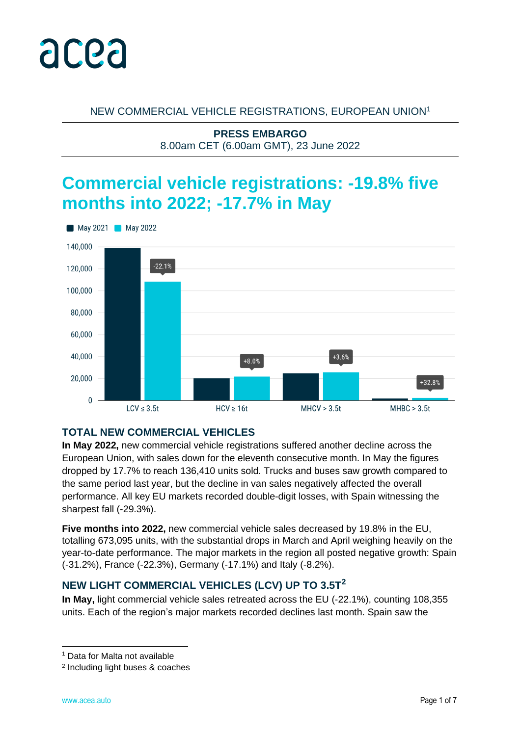

NEW COMMERCIAL VEHICLE REGISTRATIONS, EUROPEAN UNION<sup>1</sup>

**PRESS EMBARGO** 8.00am CET (6.00am GMT), 23 June 2022

# **Commercial vehicle registrations: -19.8% five months into 2022; -17.7% in May**



# **TOTAL NEW COMMERCIAL VEHICLES**

**In May 2022,** new commercial vehicle registrations suffered another decline across the European Union, with sales down for the eleventh consecutive month. In May the figures dropped by 17.7% to reach 136,410 units sold. Trucks and buses saw growth compared to the same period last year, but the decline in van sales negatively affected the overall performance. All key EU markets recorded double-digit losses, with Spain witnessing the sharpest fall (-29.3%).

**Five months into 2022,** new commercial vehicle sales decreased by 19.8% in the EU, totalling 673,095 units, with the substantial drops in March and April weighing heavily on the year-to-date performance. The major markets in the region all posted negative growth: Spain (-31.2%), France (-22.3%), Germany (-17.1%) and Italy (-8.2%).

# **NEW LIGHT COMMERCIAL VEHICLES (LCV) UP TO 3.5T<sup>2</sup>**

**In May,** light commercial vehicle sales retreated across the EU (-22.1%), counting 108,355 units. Each of the region's major markets recorded declines last month. Spain saw the

<sup>1</sup> Data for Malta not available

<sup>2</sup> Including light buses & coaches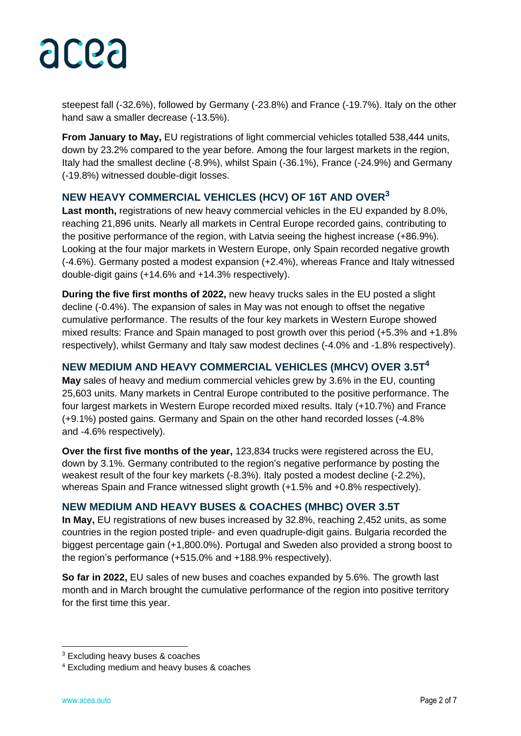

steepest fall (-32.6%), followed by Germany (-23.8%) and France (-19.7%). Italy on the other hand saw a smaller decrease (-13.5%).

**From January to May,** EU registrations of light commercial vehicles totalled 538,444 units, down by 23.2% compared to the year before. Among the four largest markets in the region, Italy had the smallest decline (-8.9%), whilst Spain (-36.1%), France (-24.9%) and Germany (-19.8%) witnessed double-digit losses.

### **NEW HEAVY COMMERCIAL VEHICLES (HCV) OF 16T AND OVER<sup>3</sup>**

**Last month,** registrations of new heavy commercial vehicles in the EU expanded by 8.0%, reaching 21,896 units. Nearly all markets in Central Europe recorded gains, contributing to the positive performance of the region, with Latvia seeing the highest increase (+86.9%). Looking at the four major markets in Western Europe, only Spain recorded negative growth (-4.6%). Germany posted a modest expansion (+2.4%), whereas France and Italy witnessed double-digit gains (+14.6% and +14.3% respectively).

**During the five first months of 2022,** new heavy trucks sales in the EU posted a slight decline (-0.4%). The expansion of sales in May was not enough to offset the negative cumulative performance. The results of the four key markets in Western Europe showed mixed results: France and Spain managed to post growth over this period (+5.3% and +1.8% respectively), whilst Germany and Italy saw modest declines (-4.0% and -1.8% respectively).

## **NEW MEDIUM AND HEAVY COMMERCIAL VEHICLES (MHCV) OVER 3.5T<sup>4</sup>**

**May** sales of heavy and medium commercial vehicles grew by 3.6% in the EU, counting 25,603 units. Many markets in Central Europe contributed to the positive performance. The four largest markets in Western Europe recorded mixed results. Italy (+10.7%) and France (+9.1%) posted gains. Germany and Spain on the other hand recorded losses (-4.8% and -4.6% respectively).

**Over the first five months of the year,** 123,834 trucks were registered across the EU, down by 3.1%. Germany contributed to the region's negative performance by posting the weakest result of the four key markets (-8.3%). Italy posted a modest decline (-2.2%), whereas Spain and France witnessed slight growth (+1.5% and +0.8% respectively).

#### **NEW MEDIUM AND HEAVY BUSES & COACHES (MHBC) OVER 3.5T**

**In May,** EU registrations of new buses increased by 32.8%, reaching 2,452 units, as some countries in the region posted triple- and even quadruple-digit gains. Bulgaria recorded the biggest percentage gain (+1,800.0%). Portugal and Sweden also provided a strong boost to the region's performance (+515.0% and +188.9% respectively).

**So far in 2022,** EU sales of new buses and coaches expanded by 5.6%. The growth last month and in March brought the cumulative performance of the region into positive territory for the first time this year.

<sup>3</sup> Excluding heavy buses & coaches

<sup>4</sup> Excluding medium and heavy buses & coaches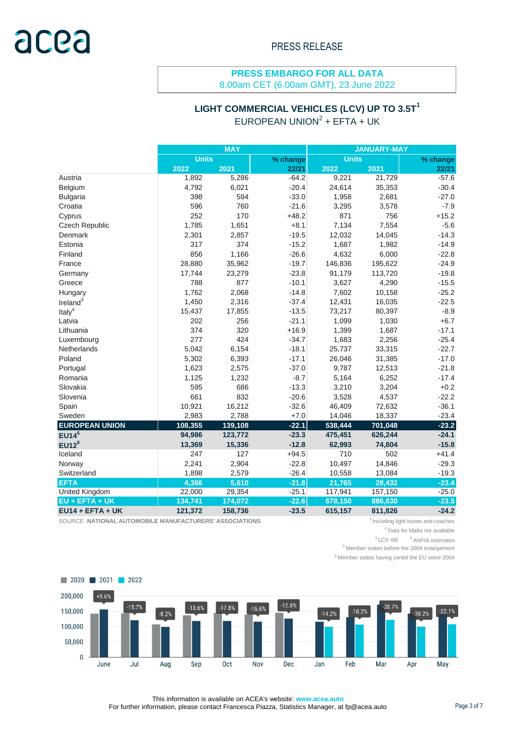8.00am CET (6.00am GMT), 23 June 2022

# **LIGHT COMMERCIAL VEHICLES (LCV) UP TO 3.5T<sup>1</sup>** EUROPEAN UNION<sup>2</sup> + EFTA + UK

|                       | <b>MAY</b>   |         |          | <b>JANUARY-MAY</b> |         |          |  |
|-----------------------|--------------|---------|----------|--------------------|---------|----------|--|
|                       | <b>Units</b> |         | % change | <b>Units</b>       |         | % change |  |
|                       | 2022         | 2021    | 22/21    | 2022               | 2021    | 22/21    |  |
| Austria               | 1,892        | 5,286   | $-64.2$  | 9,221              | 21,729  | $-57.6$  |  |
| Belgium               | 4,792        | 6,021   | $-20.4$  | 24,614             | 35,353  | $-30.4$  |  |
| <b>Bulgaria</b>       | 398          | 594     | $-33.0$  | 1,958              | 2,681   | $-27.0$  |  |
| Croatia               | 596          | 760     | $-21.6$  | 3,295              | 3,578   | $-7.9$   |  |
| Cyprus                | 252          | 170     | $+48.2$  | 871                | 756     | $+15.2$  |  |
| <b>Czech Republic</b> | 1,785        | 1,651   | $+8.1$   | 7,134              | 7,554   | $-5.6$   |  |
| Denmark               | 2,301        | 2,857   | $-19.5$  | 12,032             | 14,045  | $-14.3$  |  |
| Estonia               | 317          | 374     | $-15.2$  | 1,687              | 1,982   | $-14.9$  |  |
| Finland               | 856          | 1,166   | $-26.6$  | 4,632              | 6,000   | $-22.8$  |  |
| France                | 28,880       | 35,962  | $-19.7$  | 146,836            | 195,622 | $-24.9$  |  |
| Germany               | 17,744       | 23,279  | $-23.8$  | 91,179             | 113,720 | $-19.8$  |  |
| Greece                | 788          | 877     | $-10.1$  | 3,627              | 4,290   | $-15.5$  |  |
| Hungary               | 1,762        | 2,068   | $-14.8$  | 7,602              | 10,158  | $-25.2$  |  |
| Ireland <sup>3</sup>  | 1,450        | 2,316   | $-37.4$  | 12,431             | 16,035  | $-22.5$  |  |
| Ital $y^4$            | 15,437       | 17,855  | $-13.5$  | 73,217             | 80,397  | $-8.9$   |  |
| Latvia                | 202          | 256     | $-21.1$  | 1,099              | 1,030   | $+6.7$   |  |
| Lithuania             | 374          | 320     | $+16.9$  | 1,399              | 1,687   | $-17.1$  |  |
| Luxembourg            | 277          | 424     | $-34.7$  | 1,683              | 2,256   | $-25.4$  |  |
| Netherlands           | 5,042        | 6,154   | $-18.1$  | 25,737             | 33,315  | $-22.7$  |  |
| Poland                | 5,302        | 6,393   | $-17.1$  | 26,046             | 31,385  | $-17.0$  |  |
| Portugal              | 1,623        | 2,575   | $-37.0$  | 9,787              | 12,513  | $-21.8$  |  |
| Romania               | 1,125        | 1,232   | $-8.7$   | 5,164              | 6,252   | $-17.4$  |  |
| Slovakia              | 595          | 686     | $-13.3$  | 3,210              | 3,204   | $+0.2$   |  |
| Slovenia              | 661          | 832     | $-20.6$  | 3,528              | 4,537   | $-22.2$  |  |
| Spain                 | 10,921       | 16,212  | $-32.6$  | 46,409             | 72,632  | $-36.1$  |  |
| Sweden                | 2,983        | 2,788   | $+7.0$   | 14,046             | 18,337  | $-23.4$  |  |
| <b>EUROPEAN UNION</b> | 108,355      | 139,108 | $-22.1$  | 538,444            | 701,048 | $-23.2$  |  |
| EUI4 <sup>5</sup>     | 94,986       | 123,772 | $-23.3$  | 475,451            | 626,244 | $-24.1$  |  |
| $EU12^6$              | 13,369       | 15,336  | $-12.8$  | 62,993             | 74,804  | $-15.8$  |  |
| Iceland               | 247          | 127     | $+94.5$  | 710                | 502     | $+41.4$  |  |
| Norway                | 2,241        | 2,904   | $-22.8$  | 10,497             | 14,846  | $-29.3$  |  |
| Switzerland           | 1,898        | 2,579   | $-26.4$  | 10,558             | 13,084  | $-19.3$  |  |
| <b>EFTA</b>           | 4,386        | 5,610   | $-21.8$  | 21,765             | 28,432  | $-23.4$  |  |
| <b>United Kingdom</b> | 22,000       | 29,354  | $-25.1$  | 117,941            | 157,150 | $-25.0$  |  |
| EU + EFTA + UK        | 134,741      | 174,072 | $-22.6$  | 678,150            | 886,630 | $-23.5$  |  |
| $EU14 + EFTA + UK$    | 121,372      | 158,736 | $-23.5$  | 615,157            | 811,826 | $-24.2$  |  |

SOURCE: NATIONAL AUTOMOBILE MANUFACTURERS' ASSOCIATIONS **1** Including light buses and coaches

 $3$  LCV ≤6t  $4$  ANFIA estimates

 $6$  Member states having joined the EU since 2004



This information is available on ACEA's website: **www.acea.auto**  For further information, please contact Francesca Piazza, Statistics Manager, at fp@acea.auto Page 3 of 7

<sup>&</sup>lt;sup>2</sup> Data for Malta not available

 $^{5}$  Member states before the 2004 enlargement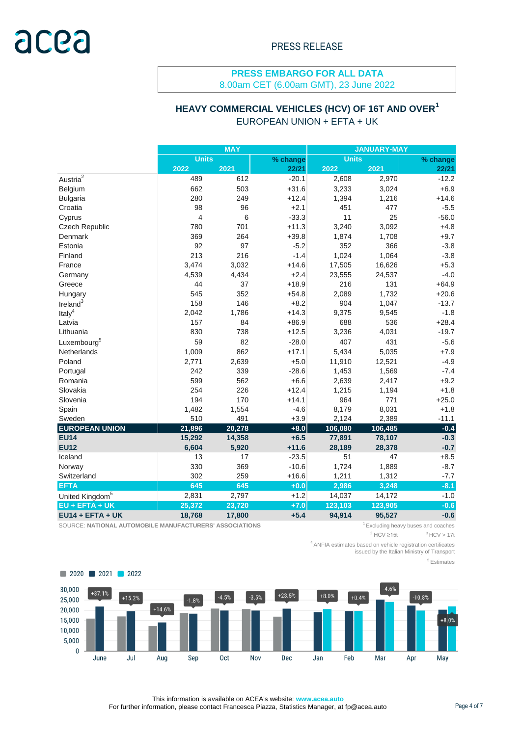8.00am CET (6.00am GMT), 23 June 2022

# **HEAVY COMMERCIAL VEHICLES (HCV) OF 16T AND OVER<sup>1</sup>**

|                             | <b>MAY</b>     |        |          | <b>JANUARY-MAY</b> |         |          |  |
|-----------------------------|----------------|--------|----------|--------------------|---------|----------|--|
|                             | Units          |        | % change | <b>Units</b>       |         | % change |  |
|                             | 2022           | 2021   | 22/21    | 2022               | 2021    | 22/21    |  |
| Austria $^2$                | 489            | 612    | $-20.1$  | 2,608              | 2,970   | $-12.2$  |  |
| Belgium                     | 662            | 503    | $+31.6$  | 3,233              | 3,024   | $+6.9$   |  |
| <b>Bulgaria</b>             | 280            | 249    | $+12.4$  | 1,394              | 1,216   | $+14.6$  |  |
| Croatia                     | 98             | 96     | $+2.1$   | 451                | 477     | $-5.5$   |  |
| Cyprus                      | $\overline{4}$ | 6      | $-33.3$  | 11                 | 25      | $-56.0$  |  |
| Czech Republic              | 780            | 701    | $+11.3$  | 3,240              | 3,092   | $+4.8$   |  |
| Denmark                     | 369            | 264    | $+39.8$  | 1,874              | 1,708   | $+9.7$   |  |
| Estonia                     | 92             | 97     | $-5.2$   | 352                | 366     | $-3.8$   |  |
| Finland                     | 213            | 216    | $-1.4$   | 1,024              | 1,064   | $-3.8$   |  |
| France                      | 3,474          | 3,032  | $+14.6$  | 17,505             | 16,626  | $+5.3$   |  |
| Germany                     | 4,539          | 4,434  | $+2.4$   | 23,555             | 24,537  | $-4.0$   |  |
| Greece                      | 44             | 37     | $+18.9$  | 216                | 131     | $+64.9$  |  |
| Hungary                     | 545            | 352    | $+54.8$  | 2,089              | 1,732   | $+20.6$  |  |
| Ireland $3$                 | 158            | 146    | $+8.2$   | 904                | 1,047   | $-13.7$  |  |
| Ital $y^4$                  | 2,042          | 1,786  | $+14.3$  | 9,375              | 9,545   | $-1.8$   |  |
| Latvia                      | 157            | 84     | $+86.9$  | 688                | 536     | $+28.4$  |  |
| Lithuania                   | 830            | 738    | $+12.5$  | 3,236              | 4,031   | $-19.7$  |  |
| Luxembourg <sup>5</sup>     | 59             | 82     | $-28.0$  | 407                | 431     | $-5.6$   |  |
| Netherlands                 | 1,009          | 862    | $+17.1$  | 5,434              | 5,035   | $+7.9$   |  |
| Poland                      | 2,771          | 2,639  | $+5.0$   | 11,910             | 12,521  | $-4.9$   |  |
| Portugal                    | 242            | 339    | $-28.6$  | 1,453              | 1,569   | $-7.4$   |  |
| Romania                     | 599            | 562    | $+6.6$   | 2,639              | 2,417   | $+9.2$   |  |
| Slovakia                    | 254            | 226    | $+12.4$  | 1,215              | 1,194   | $+1.8$   |  |
| Slovenia                    | 194            | 170    | $+14.1$  | 964                | 771     | $+25.0$  |  |
| Spain                       | 1,482          | 1,554  | $-4.6$   | 8,179              | 8,031   | $+1.8$   |  |
| Sweden                      | 510            | 491    | $+3.9$   | 2,124              | 2,389   | $-11.1$  |  |
| <b>EUROPEAN UNION</b>       | 21,896         | 20,278 | $+8.0$   | 106,080            | 106,485 | $-0.4$   |  |
| <b>EU14</b>                 | 15,292         | 14,358 | $+6.5$   | 77,891             | 78,107  | $-0.3$   |  |
| <b>EU12</b>                 | 6,604          | 5,920  | $+11.6$  | 28,189             | 28,378  | $-0.7$   |  |
| Iceland                     | 13             | 17     | $-23.5$  | 51                 | 47      | $+8.5$   |  |
| Norway                      | 330            | 369    | $-10.6$  | 1,724              | 1,889   | $-8.7$   |  |
| Switzerland                 | 302            | 259    | $+16.6$  | 1,211              | 1,312   | $-7.7$   |  |
| <b>EFTA</b>                 | 645            | 645    | $+0.0$   | 2,986              | 3,248   | $-8.1$   |  |
| United Kingdom <sup>5</sup> | 2,831          | 2,797  | $+1.2$   | 14,037             | 14,172  | $-1.0$   |  |
| EU + EFTA + UK              | 25,372         | 23,720 | $+7.0$   | 123,103            | 123,905 | $-0.6$   |  |
| $EU14 + EFTA + UK$          | 18,768         | 17,800 | $+5.4$   | 94,914             | 95,527  | $-0.6$   |  |

SOURCE: NATIONAL AUTOMOBILE MANUFACTURERS' ASSOCIATIONS **1** Excluding heavy buses and coaches

 $2$  HCV  $\geq$ 15t

<sup>4</sup>ANFIA estimates based on vehicle registration certificates issued by the Italian Ministry of Transport

<sup>5</sup> Estimates



This information is available on ACEA's website: **www.acea.auto**  For further information, please contact Francesca Piazza, Statistics Manager, at fp@acea.auto Page 4 of 7

 $3$  HCV  $> 17t$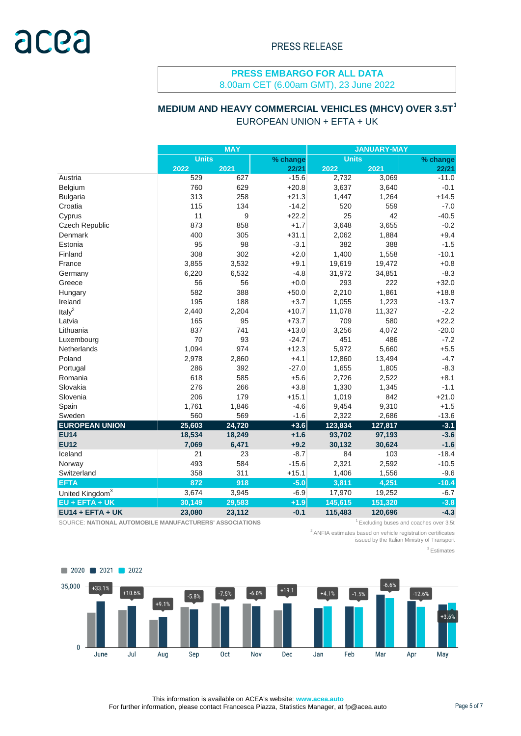8.00am CET (6.00am GMT), 23 June 2022

# **MEDIUM AND HEAVY COMMERCIAL VEHICLES (MHCV) OVER 3.5T<sup>1</sup>**

# EUROPEAN UNION + EFTA + UK

|                             | MAY          |        |          | <b>JANUARY-MAY</b> |         |          |  |
|-----------------------------|--------------|--------|----------|--------------------|---------|----------|--|
|                             | <b>Units</b> |        | % change | <b>Units</b>       |         | % change |  |
|                             | 2022         | 2021   | 22/21    | 2022               | 2021    | 22/21    |  |
| Austria                     | 529          | 627    | $-15.6$  | 2,732              | 3,069   | $-11.0$  |  |
| Belgium                     | 760          | 629    | $+20.8$  | 3,637              | 3,640   | $-0.1$   |  |
| <b>Bulgaria</b>             | 313          | 258    | $+21.3$  | 1,447              | 1,264   | $+14.5$  |  |
| Croatia                     | 115          | 134    | $-14.2$  | 520                | 559     | $-7.0$   |  |
| Cyprus                      | 11           | 9      | $+22.2$  | 25                 | 42      | $-40.5$  |  |
| Czech Republic              | 873          | 858    | $+1.7$   | 3,648              | 3,655   | $-0.2$   |  |
| Denmark                     | 400          | 305    | $+31.1$  | 2,062              | 1,884   | $+9.4$   |  |
| Estonia                     | 95           | 98     | $-3.1$   | 382                | 388     | $-1.5$   |  |
| Finland                     | 308          | 302    | $+2.0$   | 1,400              | 1,558   | $-10.1$  |  |
| France                      | 3,855        | 3,532  | $+9.1$   | 19,619             | 19,472  | $+0.8$   |  |
| Germany                     | 6,220        | 6,532  | $-4.8$   | 31,972             | 34,851  | $-8.3$   |  |
| Greece                      | 56           | 56     | $+0.0$   | 293                | 222     | $+32.0$  |  |
| Hungary                     | 582          | 388    | $+50.0$  | 2,210              | 1,861   | $+18.8$  |  |
| Ireland                     | 195          | 188    | $+3.7$   | 1,055              | 1,223   | $-13.7$  |  |
| Ital $v^2$                  | 2,440        | 2,204  | $+10.7$  | 11,078             | 11,327  | $-2.2$   |  |
| Latvia                      | 165          | 95     | $+73.7$  | 709                | 580     | $+22.2$  |  |
| Lithuania                   | 837          | 741    | $+13.0$  | 3,256              | 4,072   | $-20.0$  |  |
| Luxembourg                  | 70           | 93     | $-24.7$  | 451                | 486     | $-7.2$   |  |
| Netherlands                 | 1,094        | 974    | $+12.3$  | 5,972              | 5,660   | $+5.5$   |  |
| Poland                      | 2,978        | 2,860  | $+4.1$   | 12,860             | 13,494  | $-4.7$   |  |
| Portugal                    | 286          | 392    | $-27.0$  | 1,655              | 1,805   | $-8.3$   |  |
| Romania                     | 618          | 585    | $+5.6$   | 2,726              | 2,522   | $+8.1$   |  |
| Slovakia                    | 276          | 266    | $+3.8$   | 1,330              | 1,345   | $-1.1$   |  |
| Slovenia                    | 206          | 179    | $+15.1$  | 1,019              | 842     | $+21.0$  |  |
| Spain                       | 1,761        | 1,846  | $-4.6$   | 9,454              | 9,310   | $+1.5$   |  |
| Sweden                      | 560          | 569    | $-1.6$   | 2,322              | 2,686   | $-13.6$  |  |
| <b>EUROPEAN UNION</b>       | 25,603       | 24,720 | $+3.6$   | 123,834            | 127,817 | $-3.1$   |  |
| <b>EU14</b>                 | 18,534       | 18,249 | $+1.6$   | 93,702             | 97,193  | $-3.6$   |  |
| <b>EU12</b>                 | 7,069        | 6,471  | $+9.2$   | 30,132             | 30,624  | $-1.6$   |  |
| Iceland                     | 21           | 23     | $-8.7$   | 84                 | 103     | $-18.4$  |  |
| Norway                      | 493          | 584    | $-15.6$  | 2,321              | 2,592   | $-10.5$  |  |
| Switzerland                 | 358          | 311    | $+15.1$  | 1,406              | 1,556   | $-9.6$   |  |
| <b>EFTA</b>                 | 872          | 918    | $-5.0$   | 3,811              | 4,251   | $-10.4$  |  |
| United Kingdom <sup>3</sup> | 3,674        | 3,945  | $-6.9$   | 17,970             | 19,252  | $-6.7$   |  |
| $EU + EFTA + UK$            | 30,149       | 29,583 | $+1.9$   | 145,615            | 151,320 | $-3.8$   |  |
| $EU14 + EFTA + UK$          | 23,080       | 23,112 | $-0.1$   | 115,483            | 120,696 | $-4.3$   |  |

SOURCE: NATIONAL AUTOMOBILE MANUFACTURERS' ASSOCIATIONS **1.1 Automobile 12** Excluding buses and coaches over 3.5t

<sup>2</sup>ANFIA estimates based on vehicle registration certificates issued by the Italian Ministry of Transport

<sup>3</sup> Estimates



This information is available on ACEA's website: **www.acea.auto**  For further information, please contact Francesca Piazza, Statistics Manager, at fp@acea.auto Page 5 of 7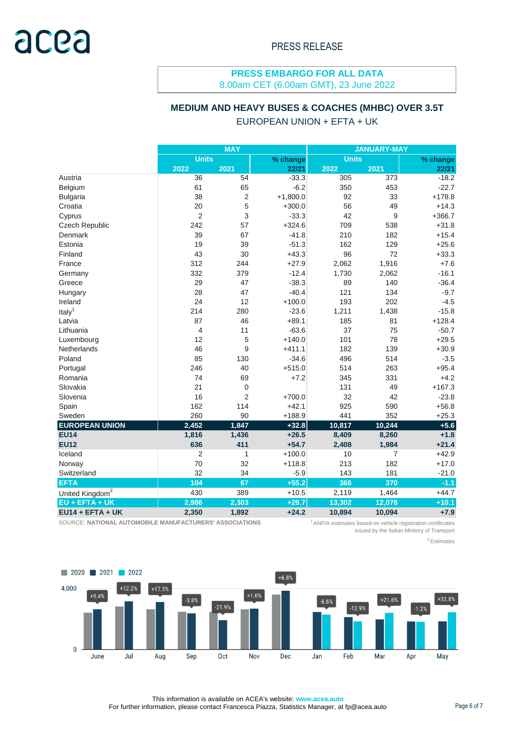8.00am CET (6.00am GMT), 23 June 2022

#### **MEDIUM AND HEAVY BUSES & COACHES (MHBC) OVER 3.5T**

#### EUROPEAN UNION + EFTA + UK

|                             | <b>MAY</b>     |                |            | <b>JANUARY-MAY</b> |                |          |  |
|-----------------------------|----------------|----------------|------------|--------------------|----------------|----------|--|
|                             | <b>Units</b>   |                | % change   | <b>Units</b>       |                | % change |  |
|                             | 2022           | 2021           | 22/21      | 2022               | 2021           | 22/21    |  |
| Austria                     | 36             | 54             | $-33.3$    | 305                | 373            | $-18.2$  |  |
| Belgium                     | 61             | 65             | $-6.2$     | 350                | 453            | $-22.7$  |  |
| <b>Bulgaria</b>             | 38             | $\overline{c}$ | $+1,800.0$ | 92                 | 33             | $+178.8$ |  |
| Croatia                     | 20             | 5              | $+300.0$   | 56                 | 49             | $+14.3$  |  |
| Cyprus                      | $\overline{2}$ | 3              | $-33.3$    | 42                 | 9              | $+366.7$ |  |
| <b>Czech Republic</b>       | 242            | 57             | $+324.6$   | 709                | 538            | $+31.8$  |  |
| Denmark                     | 39             | 67             | $-41.8$    | 210                | 182            | $+15.4$  |  |
| Estonia                     | 19             | 39             | $-51.3$    | 162                | 129            | $+25.6$  |  |
| Finland                     | 43             | 30             | $+43.3$    | 96                 | 72             | $+33.3$  |  |
| France                      | 312            | 244            | $+27.9$    | 2,062              | 1,916          | $+7.6$   |  |
| Germany                     | 332            | 379            | $-12.4$    | 1,730              | 2,062          | $-16.1$  |  |
| Greece                      | 29             | 47             | $-38.3$    | 89                 | 140            | $-36.4$  |  |
| Hungary                     | 28             | 47             | $-40.4$    | 121                | 134            | $-9.7$   |  |
| Ireland                     | 24             | 12             | $+100.0$   | 193                | 202            | $-4.5$   |  |
| Italy <sup>1</sup>          | 214            | 280            | $-23.6$    | 1,211              | 1,438          | $-15.8$  |  |
| Latvia                      | 87             | 46             | $+89.1$    | 185                | 81             | $+128.4$ |  |
| Lithuania                   | $\overline{4}$ | 11             | $-63.6$    | 37                 | 75             | $-50.7$  |  |
| Luxembourg                  | 12             | 5              | $+140.0$   | 101                | 78             | $+29.5$  |  |
| Netherlands                 | 46             | 9              | $+411.1$   | 182                | 139            | $+30.9$  |  |
| Poland                      | 85             | 130            | $-34.6$    | 496                | 514            | $-3.5$   |  |
| Portugal                    | 246            | 40             | $+515.0$   | 514                | 263            | $+95.4$  |  |
| Romania                     | 74             | 69             | $+7.2$     | 345                | 331            | $+4.2$   |  |
| Slovakia                    | 21             | $\mathbf 0$    |            | 131                | 49             | $+167.3$ |  |
| Slovenia                    | 16             | $\overline{2}$ | $+700.0$   | 32                 | 42             | $-23.8$  |  |
| Spain                       | 162            | 114            | $+42.1$    | 925                | 590            | $+56.8$  |  |
| Sweden                      | 260            | 90             | $+188.9$   | 441                | 352            | $+25.3$  |  |
| <b>EUROPEAN UNION</b>       | 2,452          | 1,847          | $+32.8$    | 10,817             | 10,244         | $+5.6$   |  |
| <b>EU14</b>                 | 1,816          | 1,436          | $+26.5$    | 8,409              | 8,260          | $+1.8$   |  |
| <b>EU12</b>                 | 636            | 411            | $+54.7$    | 2,408              | 1,984          | $+21.4$  |  |
| Iceland                     | $\overline{2}$ | 1              | $+100.0$   | 10                 | $\overline{7}$ | $+42.9$  |  |
| Norway                      | 70             | 32             | $+118.8$   | 213                | 182            | $+17.0$  |  |
| Switzerland                 | 32             | 34             | $-5.9$     | 143                | 181            | $-21.0$  |  |
| <b>EFTA</b>                 | 104            | 67             | $+55.2$    | 366                | 370            | $-1.1$   |  |
| United Kingdom <sup>2</sup> | 430            | 389            | $+10.5$    | 2,119              | 1,464          | $+44.7$  |  |
| EU + EFTA + UK              | 2,986          | 2,303          | $+29.7$    | 13,302             | 12,078         | $+10.1$  |  |
| $EU14 + EFTA + UK$          | 2,350          | 1,892          | $+24.2$    | 10,894             | 10,094         | $+7.9$   |  |

SOURCE: **NATIONAL AUTOMOBILE MANUFACTURERS' ASSOCIATIONS** 

<sup>1</sup> ANFIA estimates based on vehicle registration certificates issued by the Italian Ministry of Transport

<sup>2</sup> Estimates



This information is available on ACEA's website: **www.acea.auto**  For further information, please contact Francesca Piazza, Statistics Manager, at fp@acea.auto Page 6 of 7